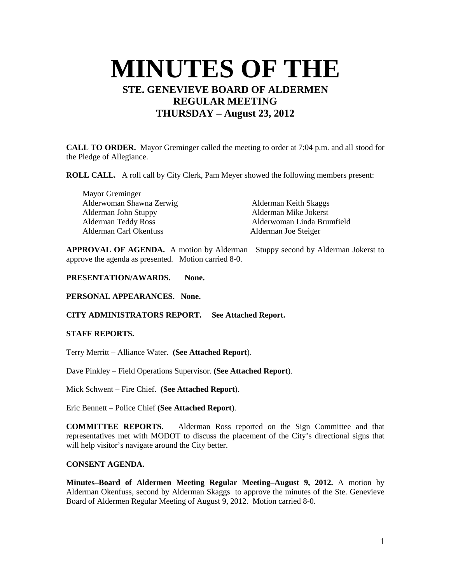# **MINUTES OF THE STE. GENEVIEVE BOARD OF ALDERMEN REGULAR MEETING THURSDAY – August 23, 2012**

**CALL TO ORDER.** Mayor Greminger called the meeting to order at 7:04 p.m. and all stood for the Pledge of Allegiance.

**ROLL CALL.** A roll call by City Clerk, Pam Meyer showed the following members present:

 Mayor Greminger Alderwoman Shawna Zerwig Alderman Keith Skaggs Alderman John Stuppy Alderman Mike Jokerst Alderman Carl Okenfuss Alderman Joe Steiger

Alderman Teddy Ross Alderwoman Linda Brumfield

**APPROVAL OF AGENDA.** A motion by Alderman Stuppy second by Alderman Jokerst to approve the agenda as presented. Motion carried 8-0.

**PRESENTATION/AWARDS. None.** 

**PERSONAL APPEARANCES. None.** 

**CITY ADMINISTRATORS REPORT. See Attached Report.** 

#### **STAFF REPORTS.**

Terry Merritt – Alliance Water. **(See Attached Report**).

Dave Pinkley – Field Operations Supervisor. **(See Attached Report**).

Mick Schwent – Fire Chief. **(See Attached Report**).

Eric Bennett – Police Chief **(See Attached Report**).

**COMMITTEE REPORTS.** Alderman Ross reported on the Sign Committee and that representatives met with MODOT to discuss the placement of the City's directional signs that will help visitor's navigate around the City better.

#### **CONSENT AGENDA.**

**Minutes–Board of Aldermen Meeting Regular Meeting–August 9, 2012.** A motion by Alderman Okenfuss, second by Alderman Skaggs to approve the minutes of the Ste. Genevieve Board of Aldermen Regular Meeting of August 9, 2012. Motion carried 8-0.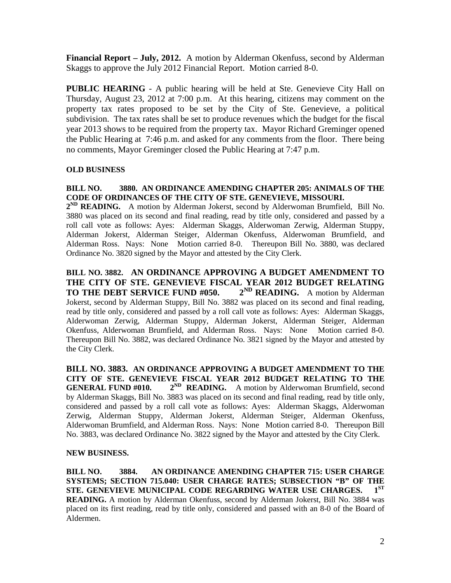**Financial Report – July, 2012.** A motion by Alderman Okenfuss, second by Alderman Skaggs to approve the July 2012 Financial Report. Motion carried 8-0.

**PUBLIC HEARING** - A public hearing will be held at Ste. Genevieve City Hall on Thursday, August 23, 2012 at 7:00 p.m. At this hearing, citizens may comment on the property tax rates proposed to be set by the City of Ste. Genevieve, a political subdivision. The tax rates shall be set to produce revenues which the budget for the fiscal year 2013 shows to be required from the property tax. Mayor Richard Greminger opened the Public Hearing at 7:46 p.m. and asked for any comments from the floor. There being no comments, Mayor Greminger closed the Public Hearing at 7:47 p.m.

# **OLD BUSINESS**

## **BILL NO. 3880. AN ORDINANCE AMENDING CHAPTER 205: ANIMALS OF THE CODE OF ORDINANCES OF THE CITY OF STE. GENEVIEVE, MISSOURI.**

2<sup>ND</sup> READING. A motion by Alderman Jokerst, second by Alderwoman Brumfield, Bill No. 3880 was placed on its second and final reading, read by title only, considered and passed by a roll call vote as follows: Ayes: Alderman Skaggs, Alderwoman Zerwig, Alderman Stuppy, Alderman Jokerst, Alderman Steiger, Alderman Okenfuss, Alderwoman Brumfield, and Alderman Ross. Nays: None Motion carried 8-0. Thereupon Bill No. 3880, was declared Ordinance No. 3820 signed by the Mayor and attested by the City Clerk.

**BILL NO. 3882. AN ORDINANCE APPROVING A BUDGET AMENDMENT TO THE CITY OF STE. GENEVIEVE FISCAL YEAR 2012 BUDGET RELATING TO THE DEBT SERVICE FUND #050.**  $2^{ND}$  **READING.** A motion by Alderman Jokerst, second by Alderman Stuppy, Bill No. 3882 was placed on its second and final reading, read by title only, considered and passed by a roll call vote as follows: Ayes: Alderman Skaggs, Alderwoman Zerwig, Alderman Stuppy, Alderman Jokerst, Alderman Steiger, Alderman Okenfuss, Alderwoman Brumfield, and Alderman Ross. Nays: None Motion carried 8-0. Thereupon Bill No. 3882, was declared Ordinance No. 3821 signed by the Mayor and attested by the City Clerk.

**BILL NO. 3883. AN ORDINANCE APPROVING A BUDGET AMENDMENT TO THE CITY OF STE. GENEVIEVE FISCAL YEAR 2012 BUDGET RELATING TO THE GENERAL FUND #010.**  $2^{ND}$  **READING.** A motion by Alderwoman Brumfield, second by Alderman Skaggs, Bill No. 3883 was placed on its second and final reading, read by title only, considered and passed by a roll call vote as follows: Ayes: Alderman Skaggs, Alderwoman Zerwig, Alderman Stuppy, Alderman Jokerst, Alderman Steiger, Alderman Okenfuss, Alderwoman Brumfield, and Alderman Ross. Nays: None Motion carried 8-0. Thereupon Bill No. 3883, was declared Ordinance No. 3822 signed by the Mayor and attested by the City Clerk.

# **NEW BUSINESS.**

**BILL NO. 3884. AN ORDINANCE AMENDING CHAPTER 715: USER CHARGE SYSTEMS; SECTION 715.040: USER CHARGE RATES; SUBSECTION "B" OF THE**  STE. GENEVIEVE MUNICIPAL CODE REGARDING WATER USE CHARGES. **READING.** A motion by Alderman Okenfuss, second by Alderman Jokerst, Bill No. 3884 was placed on its first reading, read by title only, considered and passed with an 8-0 of the Board of Aldermen.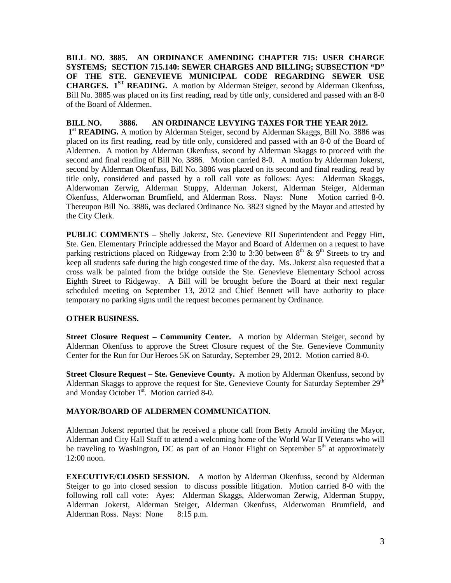**BILL NO. 3885. AN ORDINANCE AMENDING CHAPTER 715: USER CHARGE SYSTEMS; SECTION 715.140: SEWER CHARGES AND BILLING; SUBSECTION "D" OF THE STE. GENEVIEVE MUNICIPAL CODE REGARDING SEWER USE CHARGES. 1ST READING.** A motion by Alderman Steiger, second by Alderman Okenfuss, Bill No. 3885 was placed on its first reading, read by title only, considered and passed with an 8-0 of the Board of Aldermen.

**BILL NO. 3886. AN ORDINANCE LEVYING TAXES FOR THE YEAR 2012.** 

 **1st READING.** A motion by Alderman Steiger, second by Alderman Skaggs, Bill No. 3886 was placed on its first reading, read by title only, considered and passed with an 8-0 of the Board of Aldermen. A motion by Alderman Okenfuss, second by Alderman Skaggs to proceed with the second and final reading of Bill No. 3886. Motion carried 8-0. A motion by Alderman Jokerst, second by Alderman Okenfuss, Bill No. 3886 was placed on its second and final reading, read by title only, considered and passed by a roll call vote as follows: Ayes: Alderman Skaggs, Alderwoman Zerwig, Alderman Stuppy, Alderman Jokerst, Alderman Steiger, Alderman Okenfuss, Alderwoman Brumfield, and Alderman Ross. Nays: None Motion carried 8-0. Thereupon Bill No. 3886, was declared Ordinance No. 3823 signed by the Mayor and attested by the City Clerk.

**PUBLIC COMMENTS** – Shelly Jokerst, Ste. Genevieve RII Superintendent and Peggy Hitt, Ste. Gen. Elementary Principle addressed the Mayor and Board of Aldermen on a request to have parking restrictions placed on Ridgeway from 2:30 to 3:30 between  $8<sup>th</sup>$  & 9<sup>th</sup> Streets to try and keep all students safe during the high congested time of the day. Ms. Jokerst also requested that a cross walk be painted from the bridge outside the Ste. Genevieve Elementary School across Eighth Street to Ridgeway. A Bill will be brought before the Board at their next regular scheduled meeting on September 13, 2012 and Chief Bennett will have authority to place temporary no parking signs until the request becomes permanent by Ordinance.

### **OTHER BUSINESS.**

**Street Closure Request – Community Center.** A motion by Alderman Steiger, second by Alderman Okenfuss to approve the Street Closure request of the Ste. Genevieve Community Center for the Run for Our Heroes 5K on Saturday, September 29, 2012. Motion carried 8-0.

**Street Closure Request – Ste. Genevieve County.** A motion by Alderman Okenfuss, second by Alderman Skaggs to approve the request for Ste. Genevieve County for Saturday September 29<sup>th</sup> and Monday October 1<sup>st</sup>. Motion carried 8-0.

### **MAYOR/BOARD OF ALDERMEN COMMUNICATION.**

Alderman Jokerst reported that he received a phone call from Betty Arnold inviting the Mayor, Alderman and City Hall Staff to attend a welcoming home of the World War II Veterans who will be traveling to Washington, DC as part of an Honor Flight on September  $5<sup>th</sup>$  at approximately 12:00 noon.

**EXECUTIVE/CLOSED SESSION.** A motion by Alderman Okenfuss, second by Alderman Steiger to go into closed session to discuss possible litigation. Motion carried 8-0 with the following roll call vote: Ayes: Alderman Skaggs, Alderwoman Zerwig, Alderman Stuppy, Alderman Jokerst, Alderman Steiger, Alderman Okenfuss, Alderwoman Brumfield, and Alderman Ross. Nays: None 8:15 p.m.